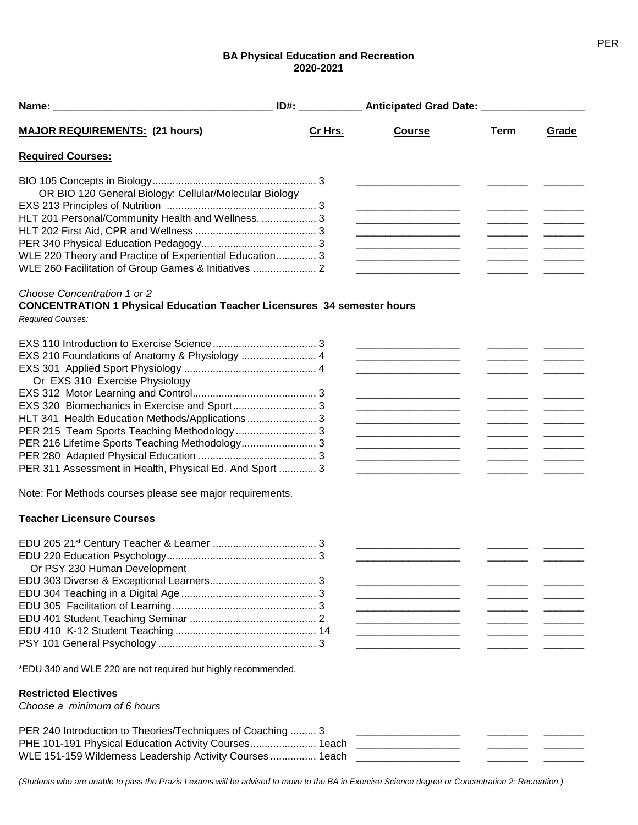## **BA Physical Education and Recreation 2020-2021**

|                                                                                | $ID#$ : | Anticipated Grad Date: _____________________                                                                           |      |                                                                                                                                                                                                                                                                                                                                                                                                                                                                                                  |
|--------------------------------------------------------------------------------|---------|------------------------------------------------------------------------------------------------------------------------|------|--------------------------------------------------------------------------------------------------------------------------------------------------------------------------------------------------------------------------------------------------------------------------------------------------------------------------------------------------------------------------------------------------------------------------------------------------------------------------------------------------|
| <b>MAJOR REQUIREMENTS: (21 hours)</b>                                          | Cr Hrs. | <b>Course</b>                                                                                                          | Term | Grade                                                                                                                                                                                                                                                                                                                                                                                                                                                                                            |
| <b>Required Courses:</b>                                                       |         |                                                                                                                        |      |                                                                                                                                                                                                                                                                                                                                                                                                                                                                                                  |
|                                                                                |         |                                                                                                                        |      |                                                                                                                                                                                                                                                                                                                                                                                                                                                                                                  |
| OR BIO 120 General Biology: Cellular/Molecular Biology                         |         |                                                                                                                        |      |                                                                                                                                                                                                                                                                                                                                                                                                                                                                                                  |
|                                                                                |         |                                                                                                                        |      |                                                                                                                                                                                                                                                                                                                                                                                                                                                                                                  |
| HLT 201 Personal/Community Health and Wellness.  3                             |         | <u> 1989 - Johann Barbara, martin amerikan basar dan bagi dan bagi dalam bagi dalam bagi dalam bagi dalam bagi da</u>  |      | <u> 1989 - Alban III, politik politik (</u>                                                                                                                                                                                                                                                                                                                                                                                                                                                      |
|                                                                                |         |                                                                                                                        |      | $\overline{\phantom{a}}$                                                                                                                                                                                                                                                                                                                                                                                                                                                                         |
|                                                                                |         |                                                                                                                        |      | $\frac{1}{1}$                                                                                                                                                                                                                                                                                                                                                                                                                                                                                    |
| WLE 220 Theory and Practice of Experiential Education 3                        |         | <u> 1980 - Johann Barbara, martin da kasar Amerikaan kasar da</u>                                                      |      | $\mathcal{L} = \mathcal{L} \times \mathcal{L}$                                                                                                                                                                                                                                                                                                                                                                                                                                                   |
| WLE 260 Facilitation of Group Games & Initiatives  2                           |         |                                                                                                                        |      |                                                                                                                                                                                                                                                                                                                                                                                                                                                                                                  |
| Choose Concentration 1 or 2                                                    |         |                                                                                                                        |      |                                                                                                                                                                                                                                                                                                                                                                                                                                                                                                  |
| <b>CONCENTRATION 1 Physical Education Teacher Licensures 34 semester hours</b> |         |                                                                                                                        |      |                                                                                                                                                                                                                                                                                                                                                                                                                                                                                                  |
| Required Courses:                                                              |         |                                                                                                                        |      |                                                                                                                                                                                                                                                                                                                                                                                                                                                                                                  |
|                                                                                |         |                                                                                                                        |      |                                                                                                                                                                                                                                                                                                                                                                                                                                                                                                  |
| EXS 210 Foundations of Anatomy & Physiology  4                                 |         | <u> 1989 - Johann Barbara, martin amerikan basar dan bagi dan bagi dalam bagi dalam bagi dalam bagi dalam bagi da</u>  |      |                                                                                                                                                                                                                                                                                                                                                                                                                                                                                                  |
|                                                                                |         |                                                                                                                        |      |                                                                                                                                                                                                                                                                                                                                                                                                                                                                                                  |
| Or EXS 310 Exercise Physiology                                                 |         |                                                                                                                        |      |                                                                                                                                                                                                                                                                                                                                                                                                                                                                                                  |
|                                                                                |         |                                                                                                                        |      |                                                                                                                                                                                                                                                                                                                                                                                                                                                                                                  |
| EXS 320 Biomechanics in Exercise and Sport 3                                   |         |                                                                                                                        |      | $\frac{1}{1}$                                                                                                                                                                                                                                                                                                                                                                                                                                                                                    |
| HLT 341 Health Education Methods/Applications  3                               |         |                                                                                                                        |      | $\overline{\phantom{a}}$                                                                                                                                                                                                                                                                                                                                                                                                                                                                         |
| PER 215 Team Sports Teaching Methodology 3                                     |         |                                                                                                                        |      | $\begin{tabular}{ll} \multicolumn{3}{c} {\textbf{1}} & \multicolumn{3}{c} {\textbf{1}} & \multicolumn{3}{c} {\textbf{1}} \\ \multicolumn{3}{c} {\textbf{1}} & \multicolumn{3}{c} {\textbf{1}} & \multicolumn{3}{c} {\textbf{1}} \\ \multicolumn{3}{c} {\textbf{1}} & \multicolumn{3}{c} {\textbf{1}} & \multicolumn{3}{c} {\textbf{1}} \\ \multicolumn{3}{c} {\textbf{1}} & \multicolumn{3}{c} {\textbf{1}} & \multicolumn{3}{c} {\textbf{1}} \\ \multicolumn{3}{c} {\textbf{1}} & \multicolumn$ |
| PER 216 Lifetime Sports Teaching Methodology 3                                 |         |                                                                                                                        |      | $\overline{\phantom{a}}$                                                                                                                                                                                                                                                                                                                                                                                                                                                                         |
|                                                                                |         |                                                                                                                        |      |                                                                                                                                                                                                                                                                                                                                                                                                                                                                                                  |
| PER 311 Assessment in Health, Physical Ed. And Sport  3                        |         |                                                                                                                        |      |                                                                                                                                                                                                                                                                                                                                                                                                                                                                                                  |
| Note: For Methods courses please see major requirements.                       |         |                                                                                                                        |      |                                                                                                                                                                                                                                                                                                                                                                                                                                                                                                  |
| <b>Teacher Licensure Courses</b>                                               |         |                                                                                                                        |      |                                                                                                                                                                                                                                                                                                                                                                                                                                                                                                  |
|                                                                                |         |                                                                                                                        |      |                                                                                                                                                                                                                                                                                                                                                                                                                                                                                                  |
|                                                                                |         |                                                                                                                        |      |                                                                                                                                                                                                                                                                                                                                                                                                                                                                                                  |
| Or PSY 230 Human Development                                                   |         |                                                                                                                        |      |                                                                                                                                                                                                                                                                                                                                                                                                                                                                                                  |
|                                                                                |         |                                                                                                                        |      |                                                                                                                                                                                                                                                                                                                                                                                                                                                                                                  |
|                                                                                |         |                                                                                                                        |      |                                                                                                                                                                                                                                                                                                                                                                                                                                                                                                  |
|                                                                                |         |                                                                                                                        |      |                                                                                                                                                                                                                                                                                                                                                                                                                                                                                                  |
|                                                                                |         | <u> 2000 - Jan James James Barnett, amerikan bahasa perangan perangan perangan perangan perangan perangan perangan</u> |      |                                                                                                                                                                                                                                                                                                                                                                                                                                                                                                  |
|                                                                                |         |                                                                                                                        |      |                                                                                                                                                                                                                                                                                                                                                                                                                                                                                                  |
|                                                                                |         |                                                                                                                        |      |                                                                                                                                                                                                                                                                                                                                                                                                                                                                                                  |
| *EDU 340 and WLE 220 are not required but highly recommended.                  |         |                                                                                                                        |      |                                                                                                                                                                                                                                                                                                                                                                                                                                                                                                  |
| <b>Restricted Electives</b>                                                    |         |                                                                                                                        |      |                                                                                                                                                                                                                                                                                                                                                                                                                                                                                                  |
| Choose a minimum of 6 hours                                                    |         |                                                                                                                        |      |                                                                                                                                                                                                                                                                                                                                                                                                                                                                                                  |
| PER 240 Introduction to Theories/Techniques of Coaching  3                     |         |                                                                                                                        |      |                                                                                                                                                                                                                                                                                                                                                                                                                                                                                                  |
| PHE 101-191 Physical Education Activity Courses 1each ______________________   |         |                                                                                                                        |      |                                                                                                                                                                                                                                                                                                                                                                                                                                                                                                  |
| WLE 151-159 Wilderness Leadership Activity Courses  1each ___________________  |         |                                                                                                                        |      |                                                                                                                                                                                                                                                                                                                                                                                                                                                                                                  |

*(Students who are unable to pass the Prazis I exams will be advised to move to the BA in Exercise Science degree or Concentration 2: Recreation.)*